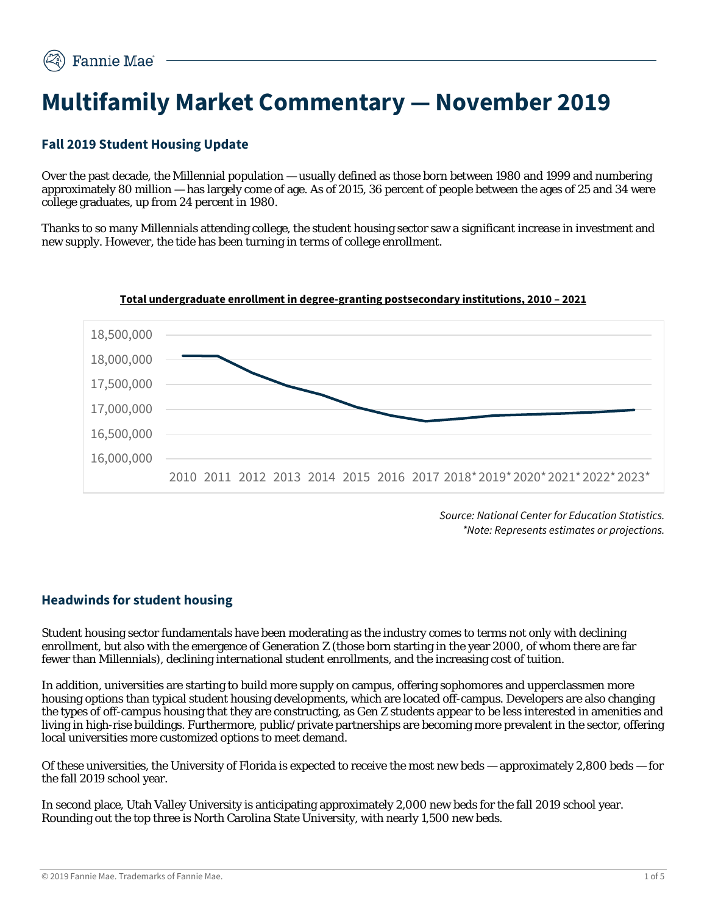# **Multifamily Market Commentary — November 2019**

# **Fall 2019 Student Housing Update**

Over the past decade, the Millennial population — usually defined as those born between 1980 and 1999 and numbering approximately 80 million — has largely come of age. As of 2015, 36 percent of people between the ages of 25 and 34 were college graduates, up from 24 percent in 1980.

Thanks to so many Millennials attending college, the student housing sector saw a significant increase in investment and new supply. However, the tide has been turning in terms of college enrollment.



**Total undergraduate enrollment in degree-granting postsecondary institutions, 2010 – 2021**

*Source: National Center for Education Statistics. \*Note: Represents estimates or projections.*

## **Headwinds for student housing**

Student housing sector fundamentals have been moderating as the industry comes to terms not only with declining enrollment, but also with the emergence of Generation Z (those born starting in the year 2000, of whom there are far fewer than Millennials), declining international student enrollments, and the increasing cost of tuition.

In addition, universities are starting to build more supply on campus, offering sophomores and upperclassmen more housing options than typical student housing developments, which are located off-campus. Developers are also changing the types of off-campus housing that they are constructing, as Gen Z students appear to be less interested in amenities and living in high-rise buildings. Furthermore, public/private partnerships are becoming more prevalent in the sector, offering local universities more customized options to meet demand.

Of these universities, the University of Florida is expected to receive the most new beds — approximately 2,800 beds — for the fall 2019 school year.

In second place, Utah Valley University is anticipating approximately 2,000 new beds for the fall 2019 school year. Rounding out the top three is North Carolina State University, with nearly 1,500 new beds.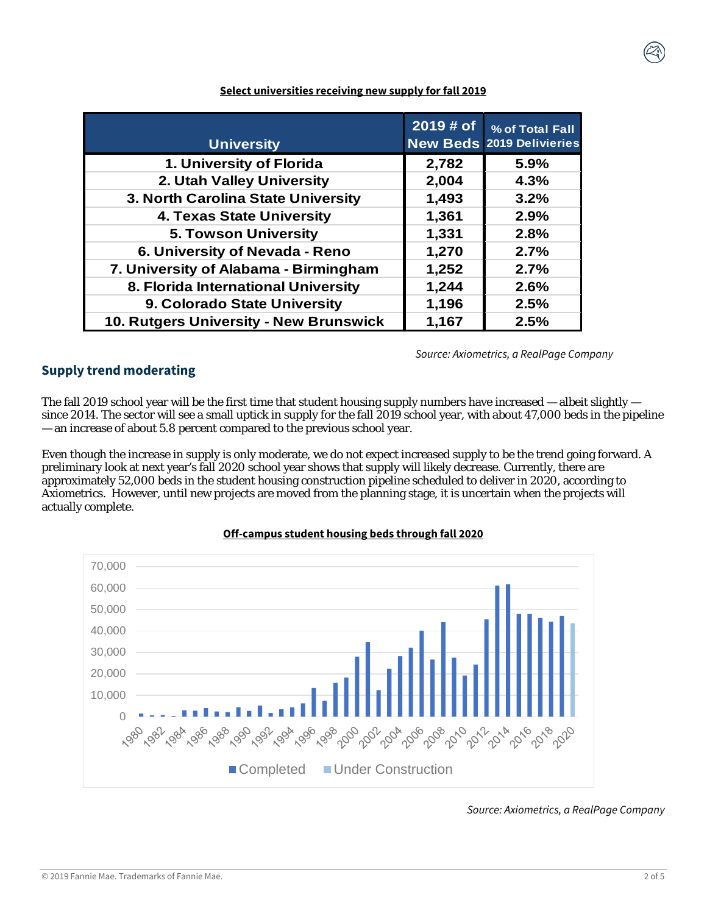| <b>University</b>                      | 2019 # of | % of Total Fall<br><b>New Beds 2019 Delivieries</b> |
|----------------------------------------|-----------|-----------------------------------------------------|
| 1. University of Florida               | 2,782     | 5.9%                                                |
| 2. Utah Valley University              | 2,004     | 4.3%                                                |
| 3. North Carolina State University     | 1,493     | 3.2%                                                |
| 4. Texas State University              | 1,361     | 2.9%                                                |
| <b>5. Towson University</b>            | 1,331     | 2.8%                                                |
| 6. University of Nevada - Reno         | 1,270     | 2.7%                                                |
| 7. University of Alabama - Birmingham  | 1,252     | 2.7%                                                |
| 8. Florida International University    | 1,244     | 2.6%                                                |
| 9. Colorado State University           | 1,196     | 2.5%                                                |
| 10. Rutgers University - New Brunswick | 1,167     | 2.5%                                                |

#### **Select universities receiving new supply for fall 2019**

*Source: Axiometrics, a RealPage Company*

## **Supply trend moderating**

The fall 2019 school year will be the first time that student housing supply numbers have increased — albeit slightly since 2014. The sector will see a small uptick in supply for the fall 2019 school year, with about 47,000 beds in the pipeline — an increase of about 5.8 percent compared to the previous school year.

Even though the increase in supply is only moderate, we do not expect increased supply to be the trend going forward. A preliminary look at next year's fall 2020 school year shows that supply will likely decrease. Currently, there are approximately 52,000 beds in the student housing construction pipeline scheduled to deliver in 2020, according to Axiometrics. However, until new projects are moved from the planning stage, it is uncertain when the projects will actually complete.



#### **Off-campus student housing beds through fall 2020**

*Source: Axiometrics, a RealPage Company*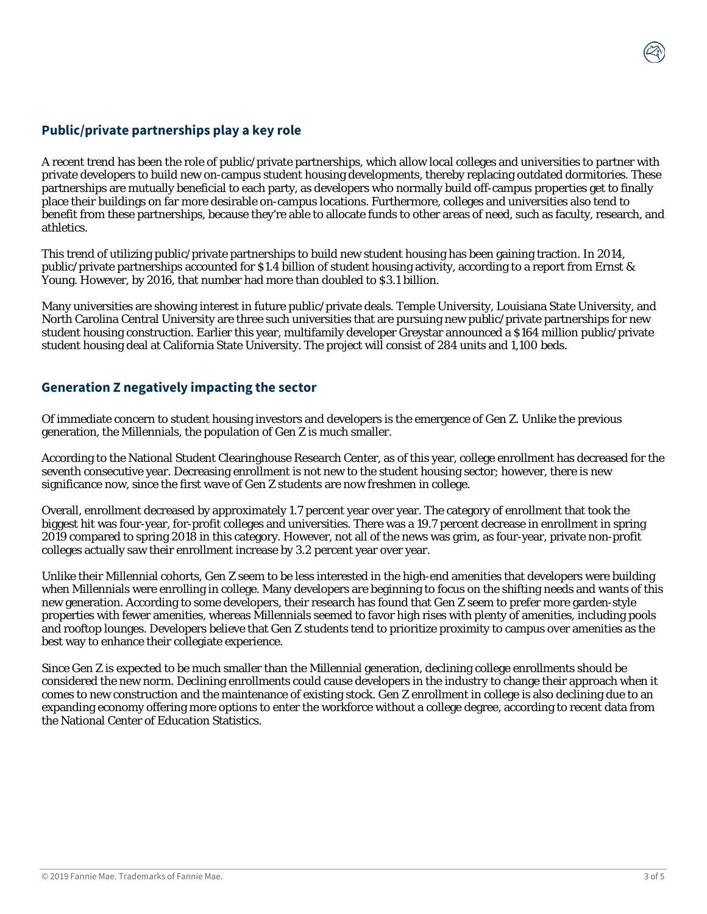## **Public/private partnerships play a key role**

A recent trend has been the role of public/private partnerships, which allow local colleges and universities to partner with private developers to build new on-campus student housing developments, thereby replacing outdated dormitories. These partnerships are mutually beneficial to each party, as developers who normally build off-campus properties get to finally place their buildings on far more desirable on-campus locations. Furthermore, colleges and universities also tend to benefit from these partnerships, because they're able to allocate funds to other areas of need, such as faculty, research, and athletics.

This trend of utilizing public/private partnerships to build new student housing has been gaining traction. In 2014, public/private partnerships accounted for \$1.4 billion of student housing activity, according to a report from Ernst & Young. However, by 2016, that number had more than doubled to \$3.1 billion.

Many universities are showing interest in future public/private deals. Temple University, Louisiana State University, and North Carolina Central University are three such universities that are pursuing new public/private partnerships for new student housing construction. Earlier this year, multifamily developer Greystar announced a \$164 million public/private student housing deal at California State University. The project will consist of 284 units and 1,100 beds.

## **Generation Z negatively impacting the sector**

Of immediate concern to student housing investors and developers is the emergence of Gen Z. Unlike the previous generation, the Millennials, the population of Gen Z is much smaller.

According to the National Student Clearinghouse Research Center, as of this year, college enrollment has decreased for the seventh consecutive year. Decreasing enrollment is not new to the student housing sector; however, there is new significance now, since the first wave of Gen Z students are now freshmen in college.

Overall, enrollment decreased by approximately 1.7 percent year over year. The category of enrollment that took the biggest hit was four-year, for-profit colleges and universities. There was a 19.7 percent decrease in enrollment in spring 2019 compared to spring 2018 in this category. However, not all of the news was grim, as four-year, private non-profit colleges actually saw their enrollment increase by 3.2 percent year over year.

Unlike their Millennial cohorts, Gen Z seem to be less interested in the high-end amenities that developers were building when Millennials were enrolling in college. Many developers are beginning to focus on the shifting needs and wants of this new generation. According to some developers, their research has found that Gen Z seem to prefer more garden-style properties with fewer amenities, whereas Millennials seemed to favor high rises with plenty of amenities, including pools and rooftop lounges. Developers believe that Gen Z students tend to prioritize proximity to campus over amenities as the best way to enhance their collegiate experience.

Since Gen Z is expected to be much smaller than the Millennial generation, declining college enrollments should be considered the new norm. Declining enrollments could cause developers in the industry to change their approach when it comes to new construction and the maintenance of existing stock. Gen Z enrollment in college is also declining due to an expanding economy offering more options to enter the workforce without a college degree, according to recent data from the National Center of Education Statistics.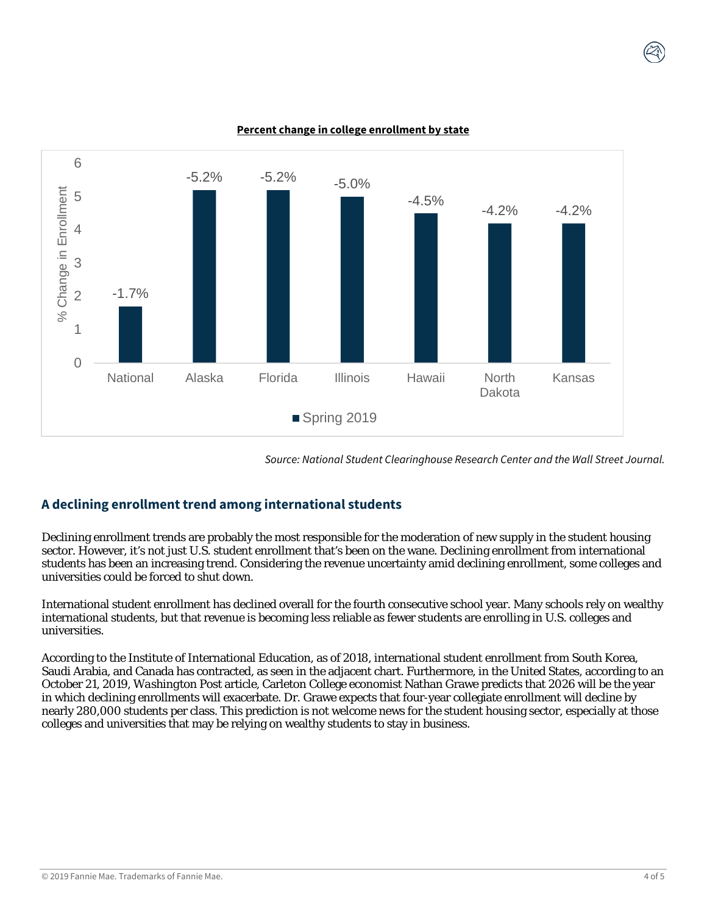

**Percent change in college enrollment by state**

*Source: National Student Clearinghouse Research Center and the Wall Street Journal.*

# **A declining enrollment trend among international students**

Declining enrollment trends are probably the most responsible for the moderation of new supply in the student housing sector. However, it's not just U.S. student enrollment that's been on the wane. Declining enrollment from international students has been an increasing trend. Considering the revenue uncertainty amid declining enrollment, some colleges and universities could be forced to shut down.

International student enrollment has declined overall for the fourth consecutive school year. Many schools rely on wealthy international students, but that revenue is becoming less reliable as fewer students are enrolling in U.S. colleges and universities.

According to the Institute of International Education, as of 2018, international student enrollment from South Korea, Saudi Arabia, and Canada has contracted, as seen in the adjacent chart. Furthermore, in the United States, according to an October 21, 2019, *Washington Post* article, Carleton College economist Nathan Grawe predicts that 2026 will be the year in which declining enrollments will exacerbate. Dr. Grawe expects that four-year collegiate enrollment will decline by nearly 280,000 students per class. This prediction is not welcome news for the student housing sector, especially at those colleges and universities that may be relying on wealthy students to stay in business.